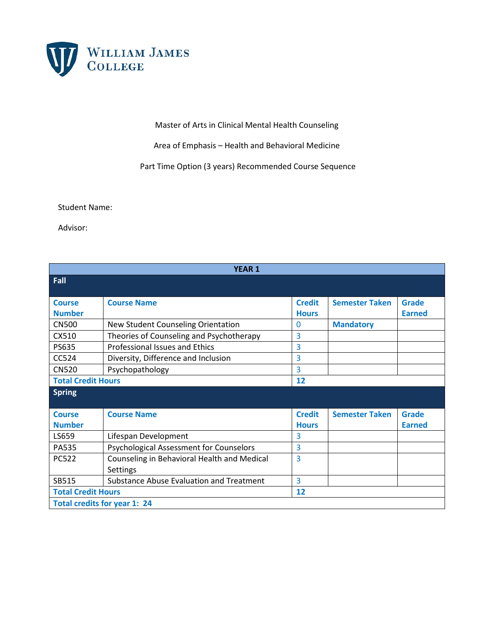

## Master of Arts in Clinical Mental Health Counseling

Area of Emphasis – Health and Behavioral Medicine

Part Time Option (3 years) Recommended Course Sequence

Student Name:

Advisor:

| <b>YEAR 1</b>                       |                                                |               |                       |               |  |  |
|-------------------------------------|------------------------------------------------|---------------|-----------------------|---------------|--|--|
| Fall                                |                                                |               |                       |               |  |  |
| <b>Course</b>                       | <b>Course Name</b>                             | <b>Credit</b> | <b>Semester Taken</b> | Grade         |  |  |
| <b>Number</b>                       |                                                | <b>Hours</b>  |                       | <b>Earned</b> |  |  |
| <b>CN500</b>                        | New Student Counseling Orientation             | $\mathbf 0$   | <b>Mandatory</b>      |               |  |  |
| CX510                               | Theories of Counseling and Psychotherapy       | 3             |                       |               |  |  |
| <b>PS635</b>                        | <b>Professional Issues and Ethics</b>          | 3             |                       |               |  |  |
| CC524                               | Diversity, Difference and Inclusion            | 3             |                       |               |  |  |
| <b>CN520</b>                        | Psychopathology                                | 3             |                       |               |  |  |
| <b>Total Credit Hours</b>           |                                                | 12            |                       |               |  |  |
| <b>Spring</b>                       |                                                |               |                       |               |  |  |
| <b>Course</b>                       | <b>Course Name</b>                             | <b>Credit</b> | <b>Semester Taken</b> | <b>Grade</b>  |  |  |
| <b>Number</b>                       |                                                | <b>Hours</b>  |                       | <b>Earned</b> |  |  |
| LS659                               | Lifespan Development                           | 3             |                       |               |  |  |
| PA535                               | <b>Psychological Assessment for Counselors</b> | 3             |                       |               |  |  |
| <b>PC522</b>                        | Counseling in Behavioral Health and Medical    | 3             |                       |               |  |  |
|                                     | <b>Settings</b>                                |               |                       |               |  |  |
| SB515                               | Substance Abuse Evaluation and Treatment       | 3             |                       |               |  |  |
| <b>Total Credit Hours</b>           |                                                | 12            |                       |               |  |  |
| <b>Total credits for year 1: 24</b> |                                                |               |                       |               |  |  |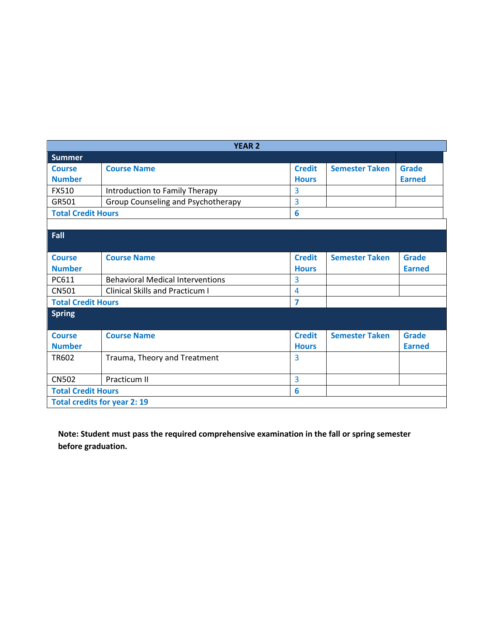| <b>YEAR 2</b>                       |                                         |               |                       |               |  |  |
|-------------------------------------|-----------------------------------------|---------------|-----------------------|---------------|--|--|
| <b>Summer</b>                       |                                         |               |                       |               |  |  |
| <b>Course</b>                       | <b>Course Name</b>                      | <b>Credit</b> | <b>Semester Taken</b> | Grade         |  |  |
| <b>Number</b>                       |                                         | <b>Hours</b>  |                       | <b>Earned</b> |  |  |
| FX510                               | Introduction to Family Therapy          | 3             |                       |               |  |  |
| GR501                               | Group Counseling and Psychotherapy      | 3             |                       |               |  |  |
| <b>Total Credit Hours</b>           |                                         | 6             |                       |               |  |  |
|                                     |                                         |               |                       |               |  |  |
| Fall                                |                                         |               |                       |               |  |  |
|                                     |                                         |               |                       |               |  |  |
| <b>Course</b>                       | <b>Course Name</b>                      | <b>Credit</b> | <b>Semester Taken</b> | Grade         |  |  |
| <b>Number</b>                       |                                         | <b>Hours</b>  |                       | <b>Earned</b> |  |  |
| PC611                               | <b>Behavioral Medical Interventions</b> | 3             |                       |               |  |  |
| <b>CN501</b>                        | <b>Clinical Skills and Practicum I</b>  | 4             |                       |               |  |  |
| <b>Total Credit Hours</b>           |                                         | 7             |                       |               |  |  |
| <b>Spring</b>                       |                                         |               |                       |               |  |  |
|                                     |                                         |               |                       |               |  |  |
| <b>Course</b>                       | <b>Course Name</b>                      | <b>Credit</b> | <b>Semester Taken</b> | <b>Grade</b>  |  |  |
| <b>Number</b>                       |                                         | <b>Hours</b>  |                       | <b>Earned</b> |  |  |
| TR602                               | Trauma, Theory and Treatment            | 3             |                       |               |  |  |
|                                     |                                         |               |                       |               |  |  |
| <b>CN502</b>                        | Practicum II                            | 3             |                       |               |  |  |
| <b>Total Credit Hours</b>           |                                         | 6             |                       |               |  |  |
| <b>Total credits for year 2: 19</b> |                                         |               |                       |               |  |  |

**Note: Student must pass the required comprehensive examination in the fall or spring semester before graduation.**